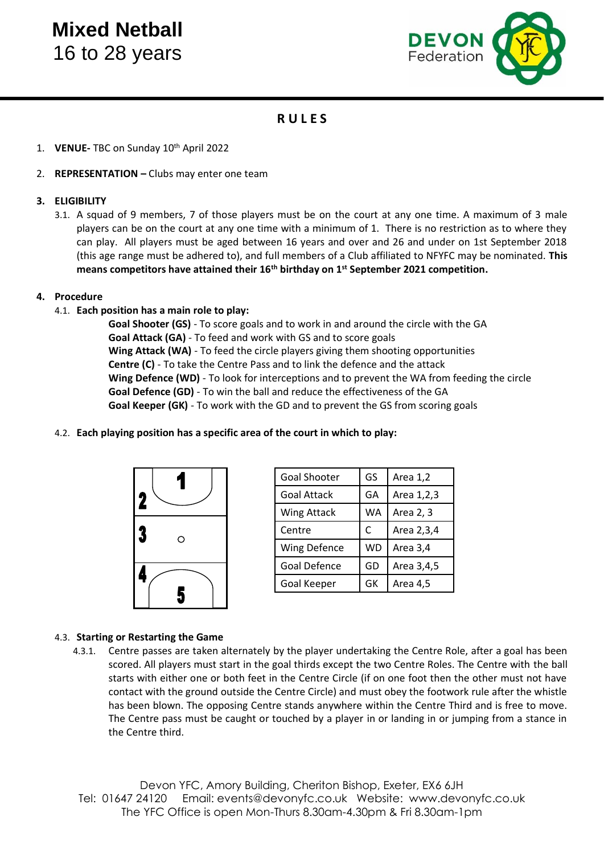# **Mixed Netball** 16 to 28 years



# **R U L E S**

- 1. **VENUE-** TBC on Sunday 10th April 2022
- 2. **REPRESENTATION –** Clubs may enter one team

# **3. ELIGIBILITY**

3.1. A squad of 9 members, 7 of those players must be on the court at any one time. A maximum of 3 male players can be on the court at any one time with a minimum of 1. There is no restriction as to where they can play. All players must be aged between 16 years and over and 26 and under on 1st September 2018 (this age range must be adhered to), and full members of a Club affiliated to NFYFC may be nominated. **This means competitors have attained their 16th birthday on 1st September 2021 competition.**

#### **4. Procedure**

4.1. **Each position has a main role to play:**

**Goal Shooter (GS)** - To score goals and to work in and around the circle with the GA **Goal Attack (GA)** - To feed and work with GS and to score goals **Wing Attack (WA)** - To feed the circle players giving them shooting opportunities **Centre (C)** - To take the Centre Pass and to link the defence and the attack **Wing Defence (WD)** - To look for interceptions and to prevent the WA from feeding the circle **Goal Defence (GD)** - To win the ball and reduce the effectiveness of the GA **Goal Keeper (GK)** - To work with the GD and to prevent the GS from scoring goals

#### 4.2. **Each playing position has a specific area of the court in which to play:**



| <b>Goal Shooter</b> | GS        | Area 1,2   |
|---------------------|-----------|------------|
| <b>Goal Attack</b>  | GA        | Area 1,2,3 |
| Wing Attack         | WA        | Area 2, 3  |
| Centre              | C         | Area 2,3,4 |
| <b>Wing Defence</b> | <b>WD</b> | Area 3,4   |
| Goal Defence        | GD        | Area 3,4,5 |
| Goal Keeper         | GK        | Area 4,5   |

# 4.3. **Starting or Restarting the Game**

4.3.1. Centre passes are taken alternately by the player undertaking the Centre Role, after a goal has been scored. All players must start in the goal thirds except the two Centre Roles. The Centre with the ball starts with either one or both feet in the Centre Circle (if on one foot then the other must not have contact with the ground outside the Centre Circle) and must obey the footwork rule after the whistle has been blown. The opposing Centre stands anywhere within the Centre Third and is free to move. The Centre pass must be caught or touched by a player in or landing in or jumping from a stance in the Centre third.

Devon YFC, Amory Building, Cheriton Bishop, Exeter, EX6 6JH Tel: 01647 24120 Email: events@devonyfc.co.uk Website: [www.devonyfc.co.uk](http://www.devonyfc.co.uk/) The YFC Office is open Mon-Thurs 8.30am-4.30pm & Fri 8.30am-1pm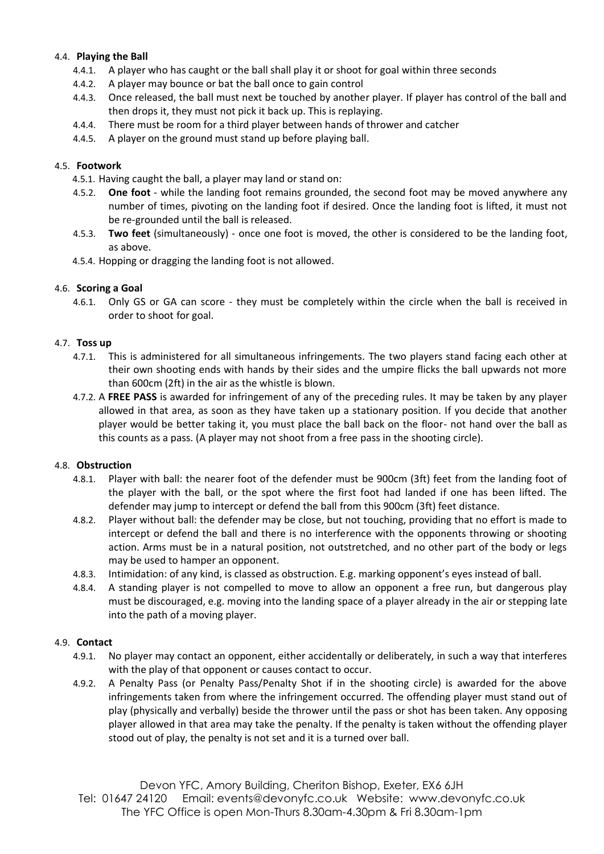# 4.4. **Playing the Ball**

- 4.4.1. A player who has caught or the ball shall play it or shoot for goal within three seconds
- 4.4.2. A player may bounce or bat the ball once to gain control
- 4.4.3. Once released, the ball must next be touched by another player. If player has control of the ball and then drops it, they must not pick it back up. This is replaying.
- 4.4.4. There must be room for a third player between hands of thrower and catcher
- 4.4.5. A player on the ground must stand up before playing ball.

# 4.5. **Footwork**

- 4.5.1. Having caught the ball, a player may land or stand on:
- 4.5.2. **One foot**  while the landing foot remains grounded, the second foot may be moved anywhere any number of times, pivoting on the landing foot if desired. Once the landing foot is lifted, it must not be re-grounded until the ball is released.
- 4.5.3. **Two feet** (simultaneously) once one foot is moved, the other is considered to be the landing foot, as above.
- 4.5.4. Hopping or dragging the landing foot is not allowed.

#### 4.6. **Scoring a Goal**

4.6.1. Only GS or GA can score - they must be completely within the circle when the ball is received in order to shoot for goal.

#### 4.7. **Toss up**

- 4.7.1. This is administered for all simultaneous infringements. The two players stand facing each other at their own shooting ends with hands by their sides and the umpire flicks the ball upwards not more than 600cm (2ft) in the air as the whistle is blown.
- 4.7.2. A **FREE PASS** is awarded for infringement of any of the preceding rules. It may be taken by any player allowed in that area, as soon as they have taken up a stationary position. If you decide that another player would be better taking it, you must place the ball back on the floor- not hand over the ball as this counts as a pass. (A player may not shoot from a free pass in the shooting circle).

#### 4.8. **Obstruction**

- 4.8.1. Player with ball: the nearer foot of the defender must be 900cm (3ft) feet from the landing foot of the player with the ball, or the spot where the first foot had landed if one has been lifted. The defender may jump to intercept or defend the ball from this 900cm (3ft) feet distance.
- 4.8.2. Player without ball: the defender may be close, but not touching, providing that no effort is made to intercept or defend the ball and there is no interference with the opponents throwing or shooting action. Arms must be in a natural position, not outstretched, and no other part of the body or legs may be used to hamper an opponent.
- 4.8.3. Intimidation: of any kind, is classed as obstruction. E.g. marking opponent's eyes instead of ball.
- 4.8.4. A standing player is not compelled to move to allow an opponent a free run, but dangerous play must be discouraged, e.g. moving into the landing space of a player already in the air or stepping late into the path of a moving player.

#### 4.9. **Contact**

- 4.9.1. No player may contact an opponent, either accidentally or deliberately, in such a way that interferes with the play of that opponent or causes contact to occur.
- 4.9.2. A Penalty Pass (or Penalty Pass/Penalty Shot if in the shooting circle) is awarded for the above infringements taken from where the infringement occurred. The offending player must stand out of play (physically and verbally) beside the thrower until the pass or shot has been taken. Any opposing player allowed in that area may take the penalty. If the penalty is taken without the offending player stood out of play, the penalty is not set and it is a turned over ball.